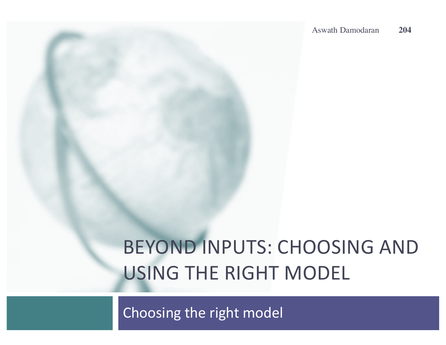# BEYOND INPUTS: CHOOSING AND USING THE RIGHT MODEL

Choosing the right model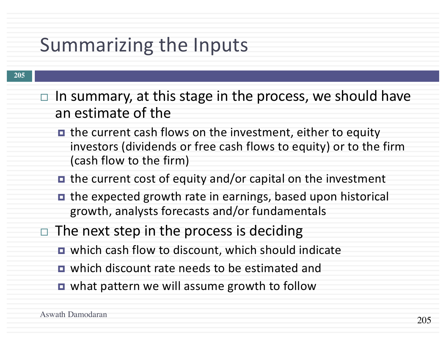### Summarizing the Inputs

- $\Box$  In summary, at this stage in the process, we should have an estimate of the
	- $\blacksquare$  the current cash flows on the investment, either to equity investors (dividends or free cash flows to equity) or to the firm (cash flow to the firm)
	- $\blacksquare$  the current cost of equity and/or capital on the investment
	- $\blacksquare$  the expected growth rate in earnings, based upon historical growth, analysts forecasts and/or fundamentals
- $\Box$  The next step in the process is deciding
	- **□** which cash flow to discount, which should indicate
	- **<u>E</u>** which discount rate needs to be estimated and
	- **□** what pattern we will assume growth to follow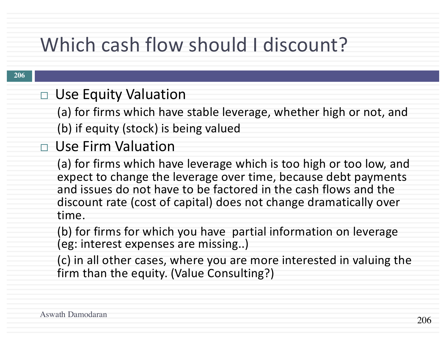## Which cash flow should I discount?

#### □ Use Equity Valuation

(a) for firms which have stable leverage, whether high or not, and

(b) if equity (stock) is being valued

□ Use Firm Valuation

(a) for firms which have leverage which is too high or too low, and expect to change the leverage over time, because debt payments and issues do not have to be factored in the cash flows and the discount rate (cost of capital) does not change dramatically over time.

(b) for firms for which you have partial information on leverage (eg: interest expenses are missing..)

(c) in all other cases, where you are more interested in valuing the firm than the equity. (Value Consulting?)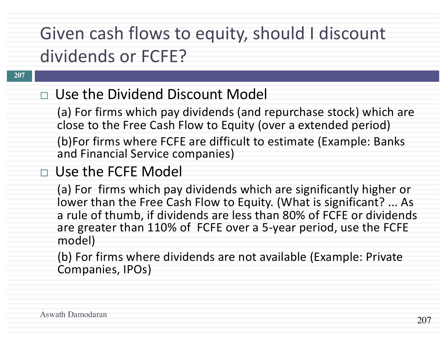## Given cash flows to equity, should I discount dividends or FCFE?

#### **207**

#### □ Use the Dividend Discount Model

(a) For firms which pay dividends (and repurchase stock) which are close to the Free Cash Flow to Equity (over a extended period)

(b)For firms where FCFE are difficult to estimate (Example: Banks and Financial Service companies)

### □ Use the FCFE Model

(a) For firms which pay dividends which are significantly higher or lower than the Free Cash Flow to Equity. (What is significant? ... As a rule of thumb, if dividends are less than 80% of FCFE or dividends are greater than 110% of FCFE over a 5-year period, use the FCFE model)

(b) For firms where dividends are not available (Example: Private Companies, IPOs)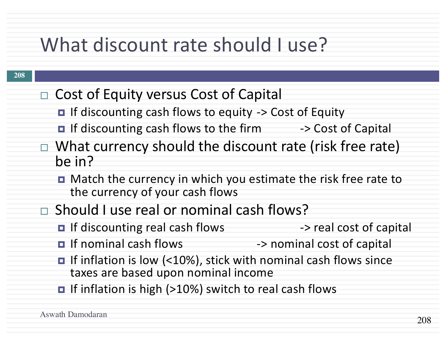## What discount rate should I use?

- □ Cost of Equity versus Cost of Capital
	- $\blacksquare$  If discounting cash flows to equity  $\rightarrow$  Cost of Equity
	- **□** If discounting cash flows to the firm -> Cost of Capital
- $\Box$  What currency should the discount rate (risk free rate) be in?
	- Match the currency in which you estimate the risk free rate to the currency of your cash flows
- $\Box$  Should I use real or nominal cash flows?
	- $\blacksquare$  If discounting real cash flows -> real cost of capital
	- $\Box$  If nominal cash flows -> nominal cost of capital
	- $\blacksquare$  If inflation is low (<10%), stick with nominal cash flows since taxes are based upon nominal income
	- $\blacksquare$  If inflation is high (>10%) switch to real cash flows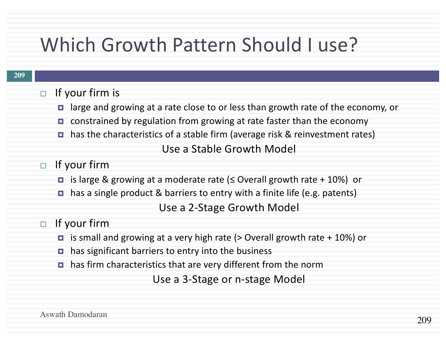## Which Growth Pattern Should I use?

- $\Box$  If your firm is
	- $\blacksquare$  large and growing at a rate close to or less than growth rate of the economy, or
	- $\blacksquare$  constrained by regulation from growing at rate faster than the economy
	- has the characteristics of a stable firm (average risk & reinvestment rates)

#### Use a Stable Growth Model

#### $\Box$  If your firm

- **□** is large & growing at a moderate rate (≤ Overall growth rate + 10%) or
- $\blacksquare$  has a single product & barriers to entry with a finite life (e.g. patents)

#### Use a 2-Stage Growth Model

#### $\Box$  If your firm

- $\blacksquare$  is small and growing at a very high rate (> Overall growth rate + 10%) or
- $\blacksquare$  has significant barriers to entry into the business
- $\blacksquare$  has firm characteristics that are very different from the norm

Use a 3-Stage or n-stage Model